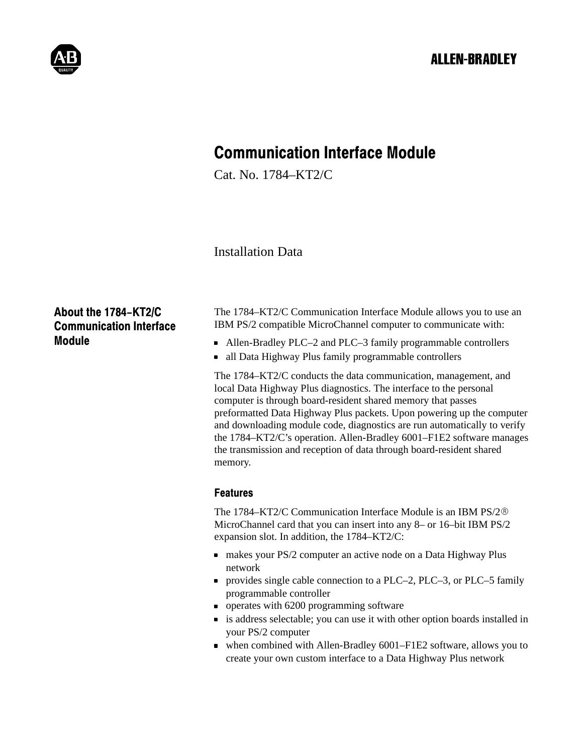

# Communication Interface Module

Cat. No. 1784–KT2/C

Installation Data

# About the 1784-KT2/C Communication Interface Module

The 1784–KT2/C Communication Interface Module allows you to use an IBM PS/2 compatible MicroChannel computer to communicate with:

- Allen-Bradley PLC–2 and PLC–3 family programmable controllers
- all Data Highway Plus family programmable controllers

The 1784–KT2/C conducts the data communication, management, and local Data Highway Plus diagnostics. The interface to the personal computer is through board-resident shared memory that passes preformatted Data Highway Plus packets. Upon powering up the computer and downloading module code, diagnostics are run automatically to verify the 1784–KT2/C's operation. Allen-Bradley 6001–F1E2 software manages the transmission and reception of data through board-resident shared memory.

### Features

The 1784–KT2/C Communication Interface Module is an IBM PS/2 MicroChannel card that you can insert into any 8– or 16–bit IBM PS/2 expansion slot. In addition, the 1784–KT2/C:

- makes your PS/2 computer an active node on a Data Highway Plus network
- provides single cable connection to a PLC–2, PLC–3, or PLC–5 family programmable controller
- operates with 6200 programming software
- is address selectable; you can use it with other option boards installed in your PS/2 computer
- when combined with Allen-Bradley 6001–F1E2 software, allows you to create your own custom interface to a Data Highway Plus network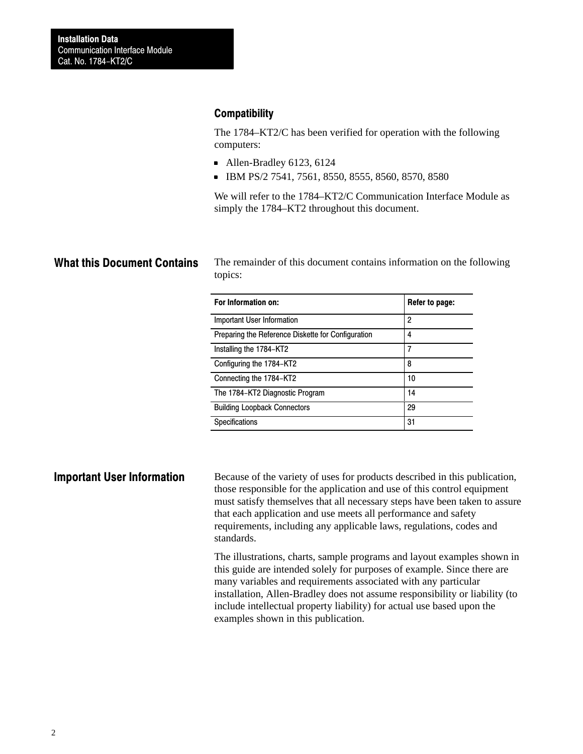### **Compatibility**

The 1784–KT2/C has been verified for operation with the following computers:

- Allen-Bradley 6123, 6124
- IBM PS/2 7541, 7561, 8550, 8555, 8560, 8570, 8580

We will refer to the 1784–KT2/C Communication Interface Module as simply the 1784–KT2 throughout this document.

# What this Document Contains

The remainder of this document contains information on the following topics:

| For Information on:                                | Refer to page: |
|----------------------------------------------------|----------------|
| Important User Information                         | 2              |
| Preparing the Reference Diskette for Configuration | 4              |
| Installing the 1784-KT2                            | 7              |
| Configuring the 1784–KT2                           | 8              |
| Connecting the 1784-KT2                            | 10             |
| The 1784-KT2 Diagnostic Program                    | 14             |
| <b>Building Loopback Connectors</b>                | 29             |
| Specifications                                     | 31             |

#### Important User Information

Because of the variety of uses for products described in this publication, those responsible for the application and use of this control equipment must satisfy themselves that all necessary steps have been taken to assure that each application and use meets all performance and safety requirements, including any applicable laws, regulations, codes and standards.

The illustrations, charts, sample programs and layout examples shown in this guide are intended solely for purposes of example. Since there are many variables and requirements associated with any particular installation, Allen-Bradley does not assume responsibility or liability (to include intellectual property liability) for actual use based upon the examples shown in this publication.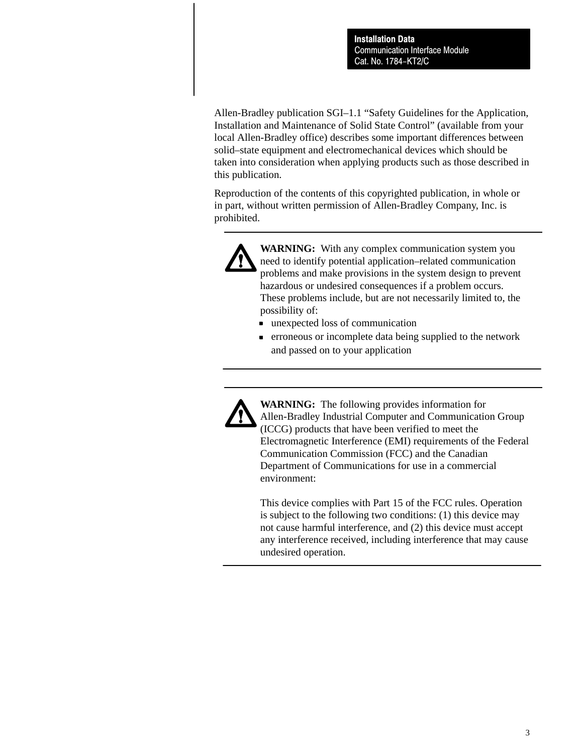Allen-Bradley publication SGI–1.1 "Safety Guidelines for the Application, Installation and Maintenance of Solid State Control" (available from your local Allen-Bradley office) describes some important differences between solid–state equipment and electromechanical devices which should be taken into consideration when applying products such as those described in this publication.

Reproduction of the contents of this copyrighted publication, in whole or in part, without written permission of Allen-Bradley Company, Inc. is prohibited.



**WARNING:** With any complex communication system you need to identify potential application–related communication problems and make provisions in the system design to prevent hazardous or undesired consequences if a problem occurs. These problems include, but are not necessarily limited to, the possibility of:

- unexpected loss of communication
- erroneous or incomplete data being supplied to the network and passed on to your application



**WARNING:** The following provides information for Allen-Bradley Industrial Computer and Communication Group (ICCG) products that have been verified to meet the Electromagnetic Interference (EMI) requirements of the Federal Communication Commission (FCC) and the Canadian Department of Communications for use in a commercial environment:

This device complies with Part 15 of the FCC rules. Operation is subject to the following two conditions: (1) this device may not cause harmful interference, and (2) this device must accept any interference received, including interference that may cause undesired operation.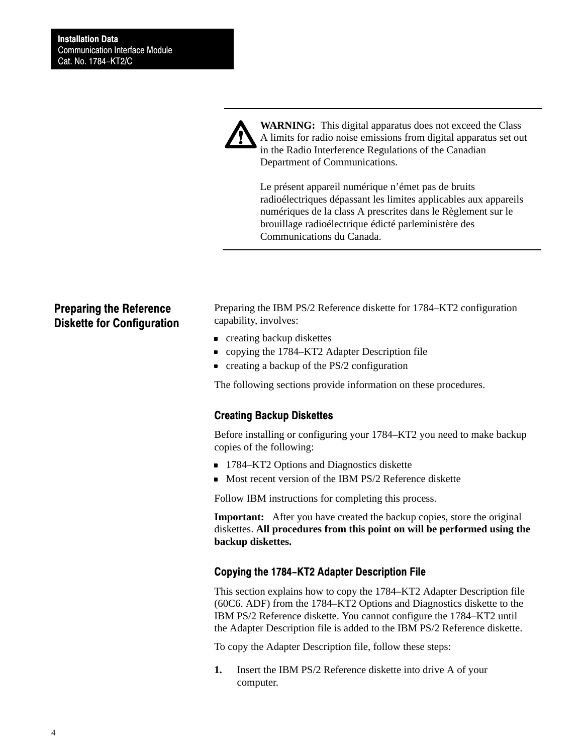

**WARNING:** This digital apparatus does not exceed the Class A limits for radio noise emissions from digital apparatus set out in the Radio Interference Regulations of the Canadian Department of Communications.

Le présent appareil numérique n'émet pas de bruits radioélectriques dépassant les limites applicables aux appareils numériques de la class A prescrites dans le Règlement sur le brouillage radioélectrique édicté parleministère des Communications du Canada.

### Preparing the Reference Diskette for Configuration

Preparing the IBM PS/2 Reference diskette for 1784–KT2 configuration capability, involves:

- **creating backup diskettes**
- copying the 1784–KT2 Adapter Description file
- **creating a backup of the PS/2 configuration**

The following sections provide information on these procedures.

#### Creating Backup Diskettes

Before installing or configuring your 1784–KT2 you need to make backup copies of the following:

- 1784–KT2 Options and Diagnostics diskette
- Most recent version of the IBM PS/2 Reference diskette

Follow IBM instructions for completing this process.

**Important:** After you have created the backup copies, store the original diskettes. **All procedures from this point on will be performed using the backup diskettes.**

#### Copying the 1784-KT2 Adapter Description File

This section explains how to copy the 1784–KT2 Adapter Description file (60C6. ADF) from the 1784–KT2 Options and Diagnostics diskette to the IBM PS/2 Reference diskette. You cannot configure the 1784–KT2 until the Adapter Description file is added to the IBM PS/2 Reference diskette.

To copy the Adapter Description file, follow these steps:

**1.** Insert the IBM PS/2 Reference diskette into drive A of your computer.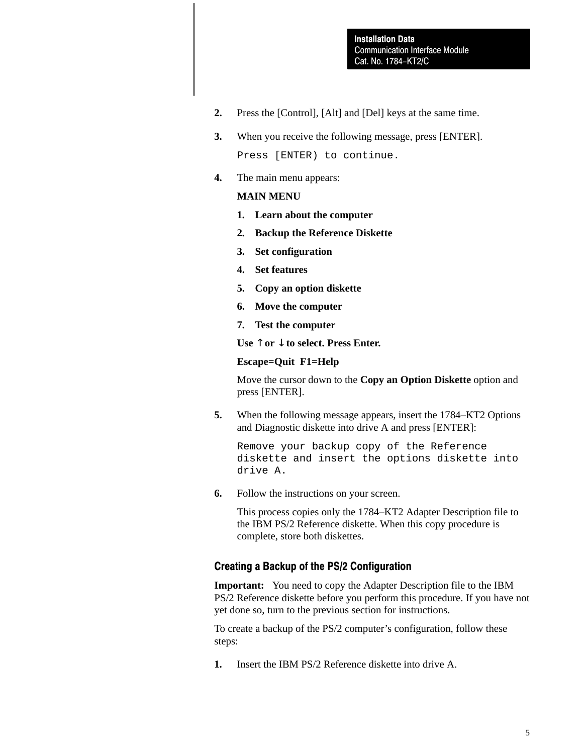- **2.** Press the [Control], [Alt] and [Del] keys at the same time.
- **3.** When you receive the following message, press [ENTER]. Press [ENTER) to continue.
- **4.** The main menu appears:

#### **MAIN MENU**

- **1. Learn about the computer**
- **2. Backup the Reference Diskette**
- **3. Set configuration**
- **4. Set features**
- **5. Copy an option diskette**
- **6. Move the computer**
- **7. Test the computer**

**Use** ↑ **or** ↓ **to select. Press Enter.**

#### **Escape=Quit F1=Help**

Move the cursor down to the **Copy an Option Diskette** option and press [ENTER].

**5.** When the following message appears, insert the 1784–KT2 Options and Diagnostic diskette into drive A and press [ENTER]:

Remove your backup copy of the Reference diskette and insert the options diskette into drive A.

**6.** Follow the instructions on your screen.

This process copies only the 1784–KT2 Adapter Description file to the IBM PS/2 Reference diskette. When this copy procedure is complete, store both diskettes.

#### Creating a Backup of the PS/2 Configuration

**Important:** You need to copy the Adapter Description file to the IBM PS/2 Reference diskette before you perform this procedure. If you have not yet done so, turn to the previous section for instructions.

To create a backup of the PS/2 computer's configuration, follow these steps:

**1.** Insert the IBM PS/2 Reference diskette into drive A.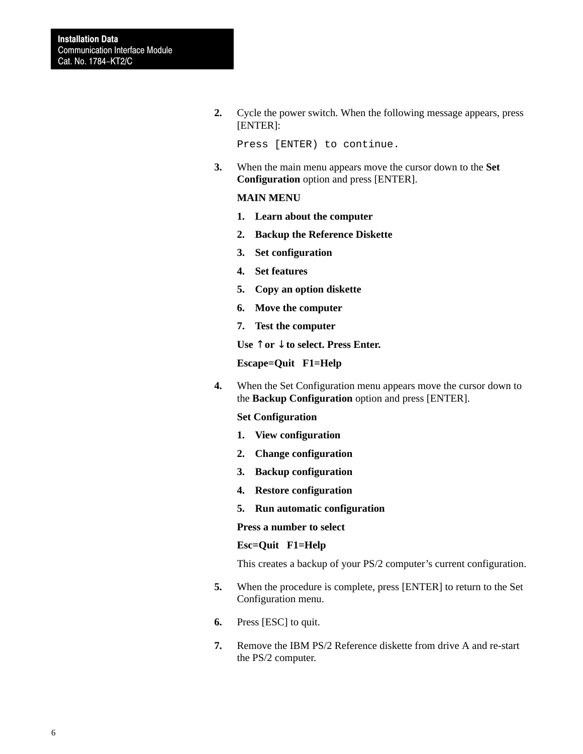**2.** Cycle the power switch. When the following message appears, press [ENTER]:

```
Press [ENTER) to continue.
```
**3.** When the main menu appears move the cursor down to the **Set Configuration** option and press [ENTER].

#### **MAIN MENU**

- **1. Learn about the computer**
- **2. Backup the Reference Diskette**
- **3. Set configuration**
- **4. Set features**
- **5. Copy an option diskette**
- **6. Move the computer**
- **7. Test the computer**

**Use** ↑ **or** ↓ **to select. Press Enter.**

**Escape=Quit F1=Help**

**4.** When the Set Configuration menu appears move the cursor down to the **Backup Configuration** option and press [ENTER].

#### **Set Configuration**

- **1. View configuration**
- **2. Change configuration**
- **3. Backup configuration**
- **4. Restore configuration**
- **5. Run automatic configuration**

#### **Press a number to select**

#### **Esc=Quit F1=Help**

This creates a backup of your PS/2 computer's current configuration.

- **5.** When the procedure is complete, press [ENTER] to return to the Set Configuration menu.
- **6.** Press [ESC] to quit.
- **7.** Remove the IBM PS/2 Reference diskette from drive A and re-start the PS/2 computer.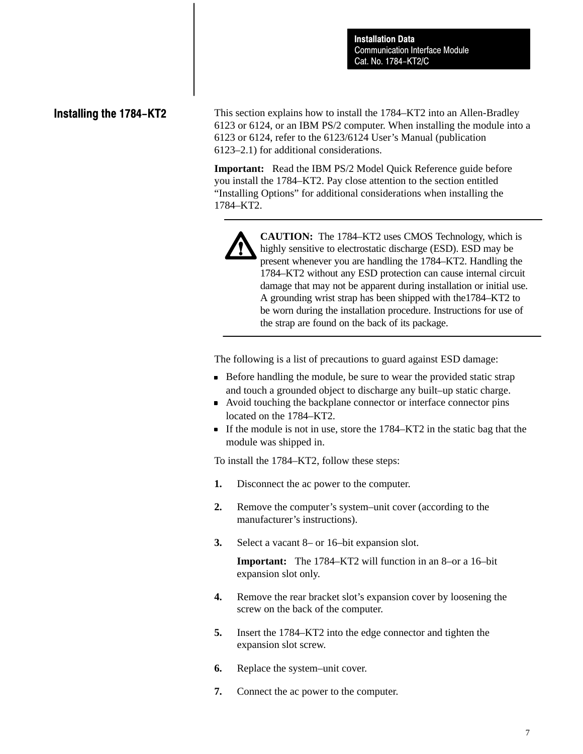## Installing the 1784-KT2

This section explains how to install the 1784–KT2 into an Allen-Bradley 6123 or 6124, or an IBM PS/2 computer. When installing the module into a 6123 or 6124, refer to the 6123/6124 User's Manual (publication 6123–2.1) for additional considerations.

**Important:** Read the IBM PS/2 Model Quick Reference guide before you install the 1784–KT2. Pay close attention to the section entitled "Installing Options" for additional considerations when installing the 1784–KT2.



**CAUTION:** The 1784–KT2 uses CMOS Technology, which is highly sensitive to electrostatic discharge (ESD). ESD may be present whenever you are handling the 1784–KT2. Handling the 1784–KT2 without any ESD protection can cause internal circuit damage that may not be apparent during installation or initial use. A grounding wrist strap has been shipped with the1784–KT2 to be worn during the installation procedure. Instructions for use of the strap are found on the back of its package.

The following is a list of precautions to guard against ESD damage:

- Before handling the module, be sure to wear the provided static strap and touch a grounded object to discharge any built–up static charge.
- Avoid touching the backplane connector or interface connector pins located on the 1784–KT2.
- If the module is not in use, store the 1784–KT2 in the static bag that the module was shipped in.

To install the 1784–KT2, follow these steps:

- **1.** Disconnect the ac power to the computer.
- **2.** Remove the computer's system–unit cover (according to the manufacturer's instructions).
- **3.** Select a vacant 8– or 16–bit expansion slot.

**Important:** The 1784–KT2 will function in an 8–or a 16–bit expansion slot only.

- **4.** Remove the rear bracket slot's expansion cover by loosening the screw on the back of the computer.
- **5.** Insert the 1784–KT2 into the edge connector and tighten the expansion slot screw.
- **6.** Replace the system–unit cover.
- **7.** Connect the ac power to the computer.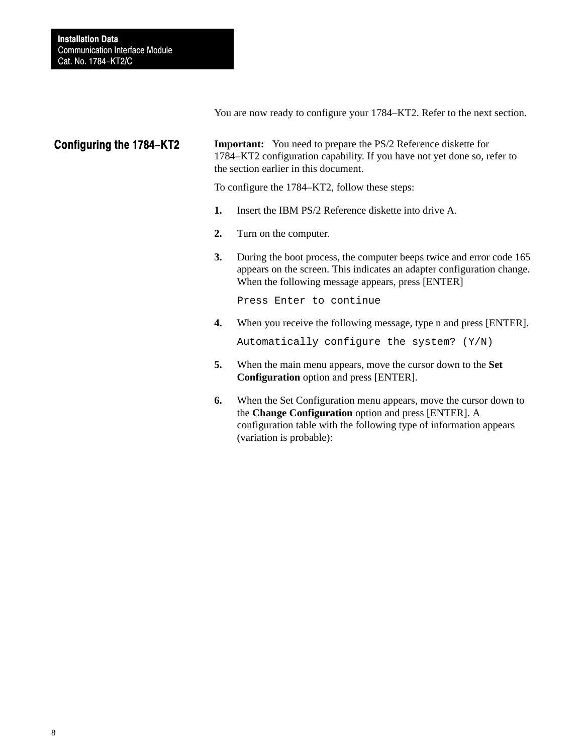You are now ready to configure your 1784–KT2. Refer to the next section.

### Configuring the 1784-KT2

**Important:** You need to prepare the PS/2 Reference diskette for 1784–KT2 configuration capability. If you have not yet done so, refer to the section earlier in this document.

To configure the 1784–KT2, follow these steps:

- **1.** Insert the IBM PS/2 Reference diskette into drive A.
- **2.** Turn on the computer.
- **3.** During the boot process, the computer beeps twice and error code 165 appears on the screen. This indicates an adapter configuration change. When the following message appears, press [ENTER]

Press Enter to continue

**4.** When you receive the following message, type n and press [ENTER].

Automatically configure the system? (Y/N)

- **5.** When the main menu appears, move the cursor down to the **Set Configuration** option and press [ENTER].
- **6.** When the Set Configuration menu appears, move the cursor down to the **Change Configuration** option and press [ENTER]. A configuration table with the following type of information appears (variation is probable):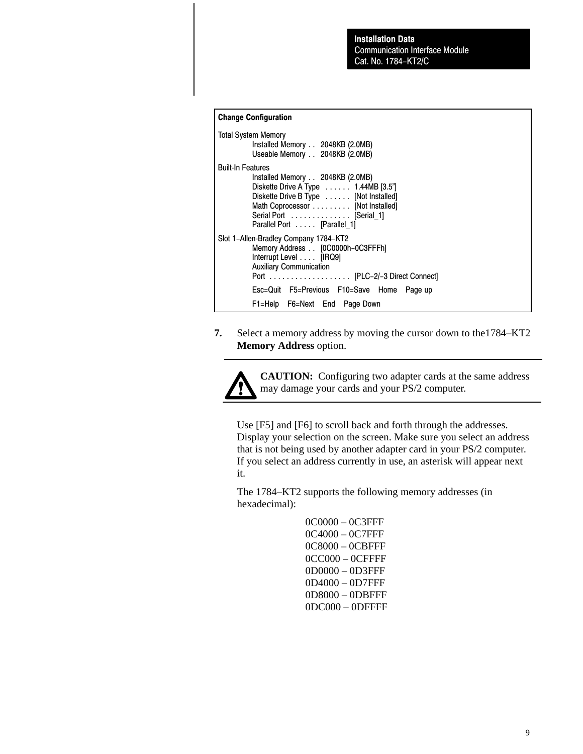#### Change Configuration

| <b>Total System Memory</b><br>Installed Memory 2048KB (2.0MB)<br>Useable Memory 2048KB (2.0MB)                                                                                                                                                            |
|-----------------------------------------------------------------------------------------------------------------------------------------------------------------------------------------------------------------------------------------------------------|
| <b>Built-In Features</b><br>Installed Memory 2048KB (2.0MB)<br>Diskette Drive A Type $\ldots$ 1.44MB [3.5"]<br>Diskette Drive B Type [Not Installed]<br>Math Coprocessor [Not Installed]<br>Serial Port  [Serial 1]<br>Parallel Port [Parallel 1]         |
| Slot 1-Allen-Bradley Company 1784-KT2<br>Memory Address [0C0000h-0C3FFFh]<br>Interrupt Level [IRQ9]<br><b>Auxiliary Communication</b><br>Port [PLC-2/-3 Direct Connect]<br>Esc=Quit F5=Previous F10=Save Home<br>Page up<br>F1=Help F6=Next End Page Down |

**7.** Select a memory address by moving the cursor down to the1784–KT2 **Memory Address** option.



**CAUTION:** Configuring two adapter cards at the same address may damage your cards and your PS/2 computer.

Use [F5] and [F6] to scroll back and forth through the addresses. Display your selection on the screen. Make sure you select an address that is not being used by another adapter card in your PS/2 computer. If you select an address currently in use, an asterisk will appear next it.

The 1784–KT2 supports the following memory addresses (in hexadecimal):

> 0C0000 – 0C3FFF 0C4000 – 0C7FFF 0C8000 – 0CBFFF 0CC000 – 0CFFFF 0D0000 – 0D3FFF 0D4000 – 0D7FFF 0D8000 – 0DBFFF 0DC000 – 0DFFFF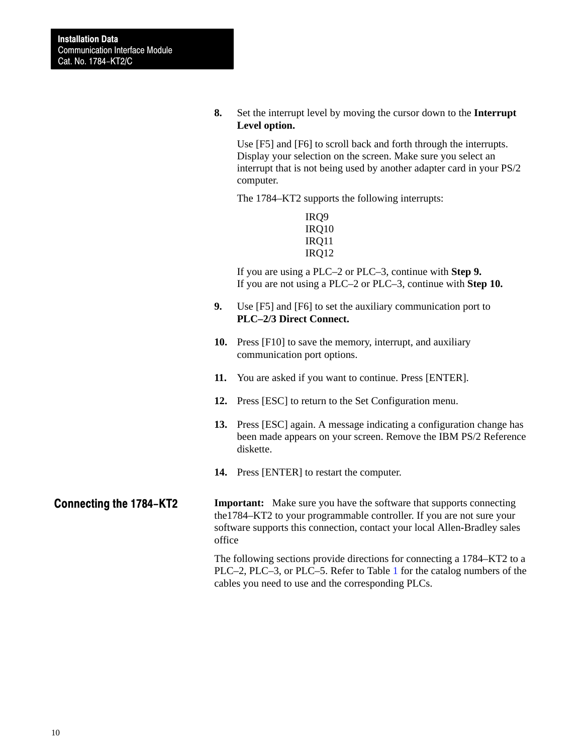**8.** Set the interrupt level by moving the cursor down to the **Interrupt Level option.**

Use [F5] and [F6] to scroll back and forth through the interrupts. Display your selection on the screen. Make sure you select an interrupt that is not being used by another adapter card in your PS/2 computer.

The 1784–KT2 supports the following interrupts:

IRQ9 IRQ10 IRQ11 IRQ12

If you are using a PLC–2 or PLC–3, continue with **Step 9.** If you are not using a PLC–2 or PLC–3, continue with **Step 10.**

- **9.** Use [F5] and [F6] to set the auxiliary communication port to **PLC–2/3 Direct Connect.**
- **10.** Press [F10] to save the memory, interrupt, and auxiliary communication port options.
- **11.** You are asked if you want to continue. Press [ENTER].
- **12.** Press [ESC] to return to the Set Configuration menu.
- **13.** Press [ESC] again. A message indicating a configuration change has been made appears on your screen. Remove the IBM PS/2 Reference diskette.
- **14.** Press [ENTER] to restart the computer.

**Important:** Make sure you have the software that supports connecting the1784–KT2 to your programmable controller. If you are not sure your software supports this connection, contact your local Allen-Bradley sales office Connecting the 1784-KT2

> The following sections provide directions for connecting a 1784–KT2 to a PLC–2, PLC–3, or PLC–5. Refer to Table [1](#page-10-0) for the catalog numbers of the cables you need to use and the corresponding PLCs.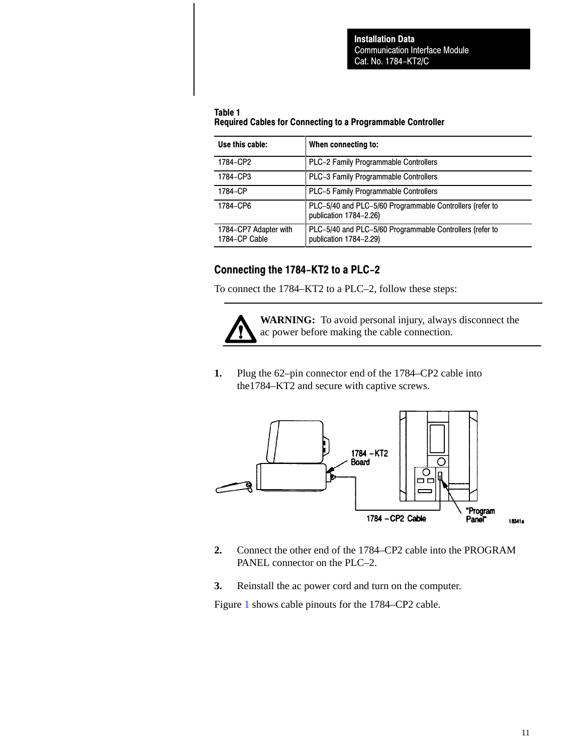#### <span id="page-10-0"></span>Table 1 Required Cables for Connecting to a Programmable Controller

| Use this cable:                        | When connecting to:                                                                |
|----------------------------------------|------------------------------------------------------------------------------------|
| 1784-CP2                               | PLC-2 Family Programmable Controllers                                              |
| 1784-CP3                               | <b>PLC-3 Family Programmable Controllers</b>                                       |
| 1784-CP                                | <b>PLC-5 Family Programmable Controllers</b>                                       |
| 1784-CP6                               | PLC-5/40 and PLC-5/60 Programmable Controllers (refer to<br>publication 1784-2.26) |
| 1784-CP7 Adapter with<br>1784-CP Cable | PLC-5/40 and PLC-5/60 Programmable Controllers (refer to<br>publication 1784-2.29) |

### Connecting the 1784-KT2 to a PLC-2

To connect the 1784–KT2 to a PLC–2, follow these steps:



**WARNING:** To avoid personal injury, always disconnect the ac power before making the cable connection.

**1.** Plug the 62–pin connector end of the 1784–CP2 cable into the1784–KT2 and secure with captive screws.



- **2.** Connect the other end of the 1784–CP2 cable into the PROGRAM PANEL connector on the PLC–2.
- **3.** Reinstall the ac power cord and turn on the computer.

Figure [1](#page-11-0) shows cable pinouts for the 1784–CP2 cable.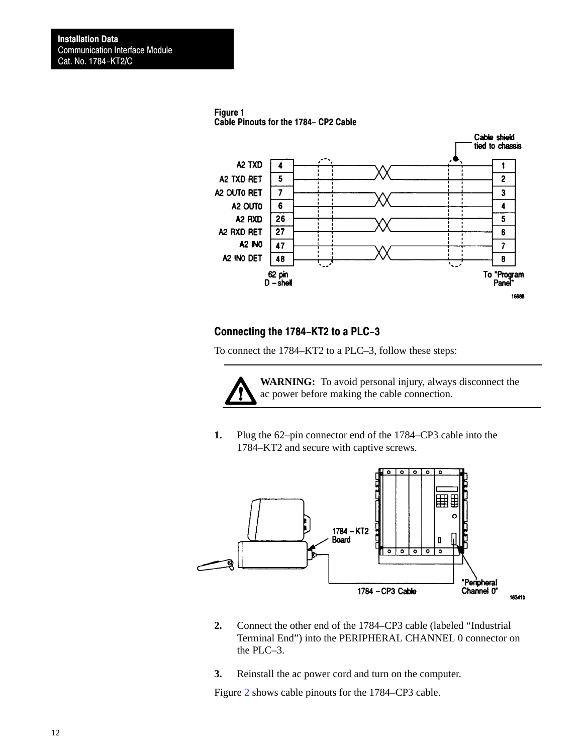<span id="page-11-0"></span>



### Connecting the 1784-KT2 to a PLC-3

To connect the 1784–KT2 to a PLC–3, follow these steps:



**WARNING:** To avoid personal injury, always disconnect the ac power before making the cable connection.

**1.** Plug the 62–pin connector end of the 1784–CP3 cable into the 1784–KT2 and secure with captive screws.



- **2.** Connect the other end of the 1784–CP3 cable (labeled "Industrial Terminal End") into the PERIPHERAL CHANNEL 0 connector on the PLC–3.
- **3.** Reinstall the ac power cord and turn on the computer.

Figure [2](#page-12-0) shows cable pinouts for the 1784–CP3 cable.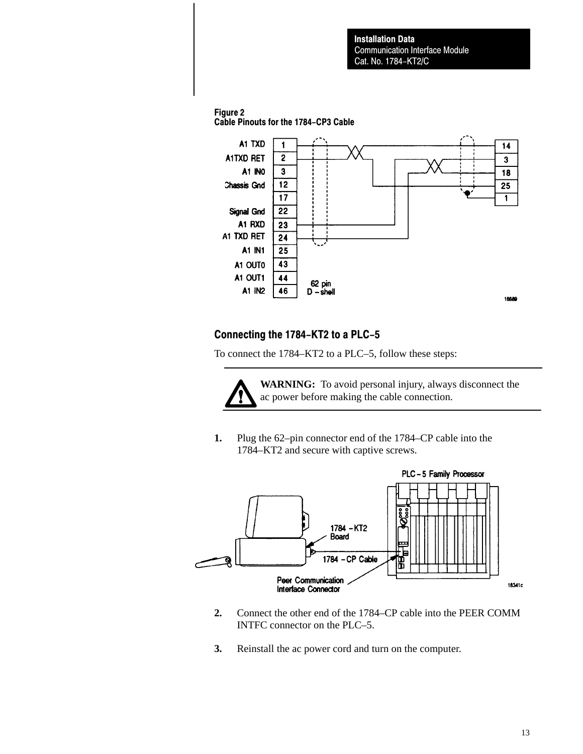### <span id="page-12-0"></span>Figure 2

Cable Pinouts for the 1784-CP3 Cable



### Connecting the 1784-KT2 to a PLC-5

To connect the 1784–KT2 to a PLC–5, follow these steps:



**WARNING:** To avoid personal injury, always disconnect the ac power before making the cable connection.

**1.** Plug the 62–pin connector end of the 1784–CP cable into the 1784–KT2 and secure with captive screws.



- **2.** Connect the other end of the 1784–CP cable into the PEER COMM INTFC connector on the PLC–5.
- **3.** Reinstall the ac power cord and turn on the computer.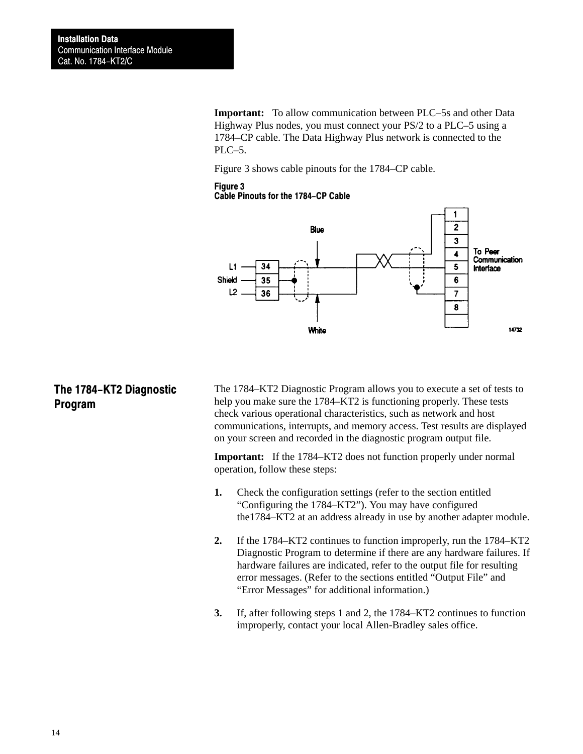**Important:** To allow communication between PLC–5s and other Data Highway Plus nodes, you must connect your PS/2 to a PLC–5 using a 1784–CP cable. The Data Highway Plus network is connected to the PLC–5.

Figure 3 shows cable pinouts for the 1784–CP cable.

#### Figure 3

Cable Pinouts for the 1784-CP Cable



## The 1784-KT2 Diagnostic Program

The 1784–KT2 Diagnostic Program allows you to execute a set of tests to help you make sure the 1784–KT2 is functioning properly. These tests check various operational characteristics, such as network and host communications, interrupts, and memory access. Test results are displayed on your screen and recorded in the diagnostic program output file.

**Important:** If the 1784–KT2 does not function properly under normal operation, follow these steps:

- **1.** Check the configuration settings (refer to the section entitled "Configuring the 1784–KT2"). You may have configured the1784–KT2 at an address already in use by another adapter module.
- **2.** If the 1784–KT2 continues to function improperly, run the 1784–KT2 Diagnostic Program to determine if there are any hardware failures. If hardware failures are indicated, refer to the output file for resulting error messages. (Refer to the sections entitled "Output File" and "Error Messages" for additional information.)
- **3.** If, after following steps 1 and 2, the 1784–KT2 continues to function improperly, contact your local Allen-Bradley sales office.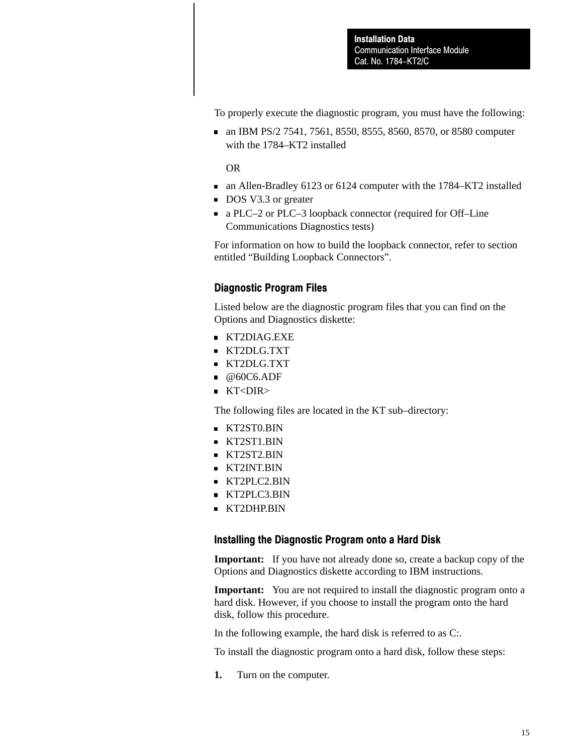To properly execute the diagnostic program, you must have the following:

an IBM PS/2 7541, 7561, 8550, 8555, 8560, 8570, or 8580 computer with the 1784–KT2 installed

OR

- an Allen-Bradley 6123 or 6124 computer with the 1784–KT2 installed
- DOS V3.3 or greater
- a PLC–2 or PLC–3 loopback connector (required for Off–Line Communications Diagnostics tests)

For information on how to build the loopback connector, refer to section entitled "Building Loopback Connectors".

### Diagnostic Program Files

Listed below are the diagnostic program files that you can find on the Options and Diagnostics diskette:

- KT2DIAG.EXE
- KT2DLG.TXT
- KT2DLG.TXT
- $@60C6.$ ADF
- KT<DIR>

The following files are located in the KT sub–directory:

- KT2ST0.BIN
- KT2ST1.BIN
- KT2ST2.BIN
- **KT2INT.BIN**
- KT2PLC2.BIN
- KT2PLC3.BIN
- **KT2DHP.BIN**

#### Installing the Diagnostic Program onto a Hard Disk

**Important:** If you have not already done so, create a backup copy of the Options and Diagnostics diskette according to IBM instructions.

**Important:** You are not required to install the diagnostic program onto a hard disk. However, if you choose to install the program onto the hard disk, follow this procedure.

In the following example, the hard disk is referred to as C:.

To install the diagnostic program onto a hard disk, follow these steps:

**1.** Turn on the computer.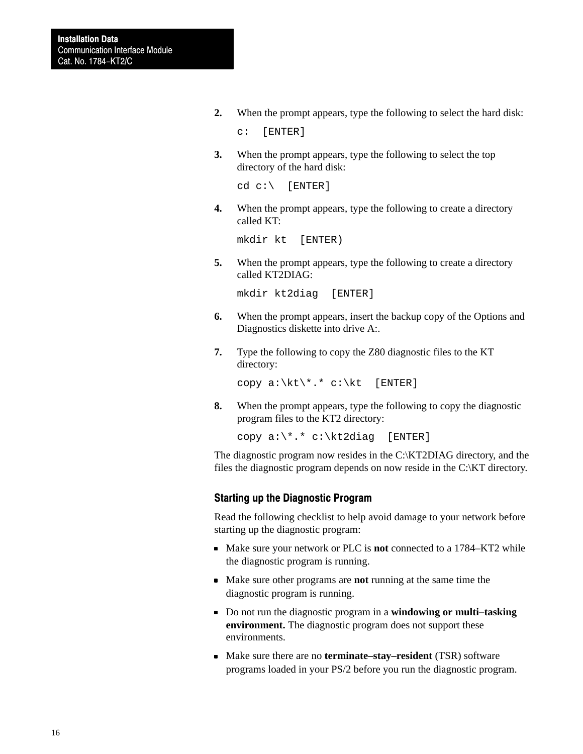**2.** When the prompt appears, type the following to select the hard disk:

c: [ENTER]

**3.** When the prompt appears, type the following to select the top directory of the hard disk:

cd c:\ [ENTER]

**4.** When the prompt appears, type the following to create a directory called KT:

mkdir kt [ENTER)

**5.** When the prompt appears, type the following to create a directory called KT2DIAG:

mkdir kt2diag [ENTER]

- **6.** When the prompt appears, insert the backup copy of the Options and Diagnostics diskette into drive A:.
- **7.** Type the following to copy the Z80 diagnostic files to the KT directory:

copy  $a:\kt$ , \* c:\kt [ENTER]

**8.** When the prompt appears, type the following to copy the diagnostic program files to the KT2 directory:

copy a:\\*.\* c:\kt2diag [ENTER]

The diagnostic program now resides in the C:\KT2DIAG directory, and the files the diagnostic program depends on now reside in the C:\KT directory.

#### Starting up the Diagnostic Program

Read the following checklist to help avoid damage to your network before starting up the diagnostic program:

- Make sure your network or PLC is **not** connected to a 1784–KT2 while the diagnostic program is running.
- Make sure other programs are **not** running at the same time the diagnostic program is running.
- Do not run the diagnostic program in a **windowing or multi–tasking environment.** The diagnostic program does not support these environments.
- Make sure there are no **terminate–stay–resident** (TSR) software programs loaded in your PS/2 before you run the diagnostic program.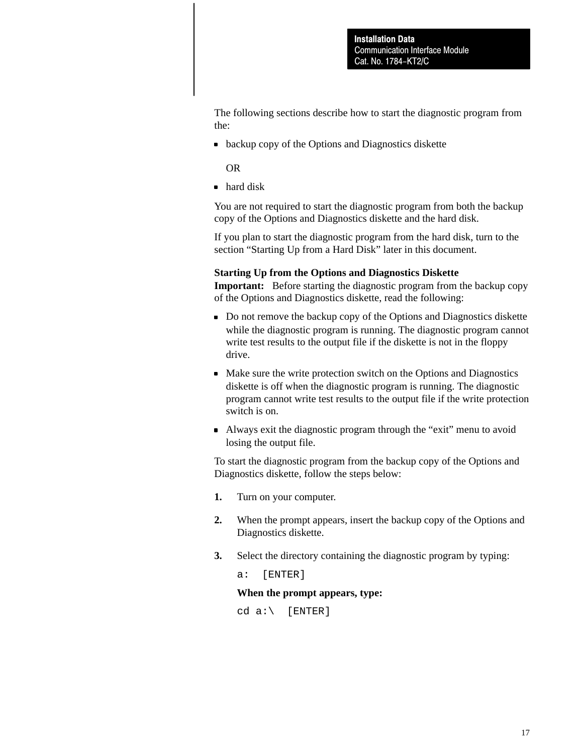The following sections describe how to start the diagnostic program from the:

**backup copy of the Options and Diagnostics diskette** 

OR

• hard disk

You are not required to start the diagnostic program from both the backup copy of the Options and Diagnostics diskette and the hard disk.

If you plan to start the diagnostic program from the hard disk, turn to the section "Starting Up from a Hard Disk" later in this document.

#### **Starting Up from the Options and Diagnostics Diskette**

**Important:** Before starting the diagnostic program from the backup copy of the Options and Diagnostics diskette, read the following:

- Do not remove the backup copy of the Options and Diagnostics diskette while the diagnostic program is running. The diagnostic program cannot write test results to the output file if the diskette is not in the floppy drive.
- Make sure the write protection switch on the Options and Diagnostics diskette is off when the diagnostic program is running. The diagnostic program cannot write test results to the output file if the write protection switch is on.
- Always exit the diagnostic program through the "exit" menu to avoid losing the output file.

To start the diagnostic program from the backup copy of the Options and Diagnostics diskette, follow the steps below:

- **1.** Turn on your computer.
- **2.** When the prompt appears, insert the backup copy of the Options and Diagnostics diskette.
- **3.** Select the directory containing the diagnostic program by typing:

a: [ENTER]

#### **When the prompt appears, type:**

 $cd a:\$  [ENTER]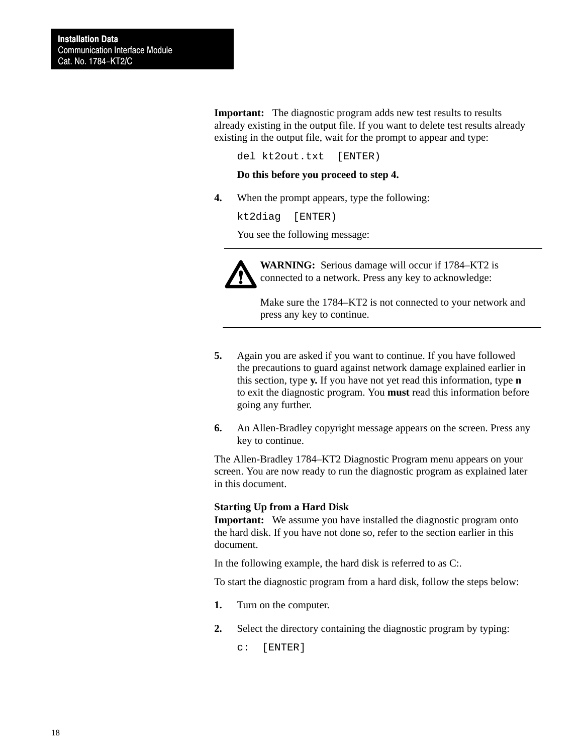**Important:** The diagnostic program adds new test results to results already existing in the output file. If you want to delete test results already existing in the output file, wait for the prompt to appear and type:

del kt2out.txt [ENTER)

#### **Do this before you proceed to step 4.**

**4.** When the prompt appears, type the following:

kt2diag [ENTER)

You see the following message:



**WARNING:** Serious damage will occur if 1784–KT2 is connected to a network. Press any key to acknowledge:

Make sure the 1784–KT2 is not connected to your network and press any key to continue.

- **5.** Again you are asked if you want to continue. If you have followed the precautions to guard against network damage explained earlier in this section, type **y.** If you have not yet read this information, type **n** to exit the diagnostic program. You **must** read this information before going any further.
- **6.** An Allen-Bradley copyright message appears on the screen. Press any key to continue.

The Allen-Bradley 1784–KT2 Diagnostic Program menu appears on your screen. You are now ready to run the diagnostic program as explained later in this document.

#### **Starting Up from a Hard Disk**

**Important:** We assume you have installed the diagnostic program onto the hard disk. If you have not done so, refer to the section earlier in this document.

In the following example, the hard disk is referred to as C:.

To start the diagnostic program from a hard disk, follow the steps below:

- **1.** Turn on the computer.
- **2.** Select the directory containing the diagnostic program by typing:

c: [ENTER]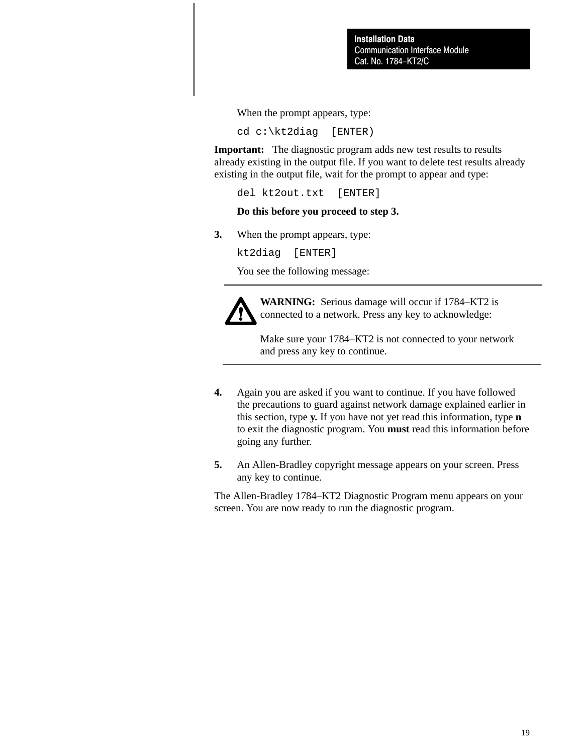Communication Interface Module Cat. No. 1784-KT2/C Installation Data

When the prompt appears, type:

cd c:\kt2diag [ENTER)

**Important:** The diagnostic program adds new test results to results already existing in the output file. If you want to delete test results already existing in the output file, wait for the prompt to appear and type:

del kt2out.txt [ENTER]

#### **Do this before you proceed to step 3.**

**3.** When the prompt appears, type:

kt2diag [ENTER]

You see the following message:



**WARNING:** Serious damage will occur if 1784–KT2 is connected to a network. Press any key to acknowledge:

Make sure your 1784–KT2 is not connected to your network and press any key to continue.

- **4.** Again you are asked if you want to continue. If you have followed the precautions to guard against network damage explained earlier in this section, type **y.** If you have not yet read this information, type **n** to exit the diagnostic program. You **must** read this information before going any further.
- **5.** An Allen-Bradley copyright message appears on your screen. Press any key to continue.

The Allen-Bradley 1784–KT2 Diagnostic Program menu appears on your screen. You are now ready to run the diagnostic program.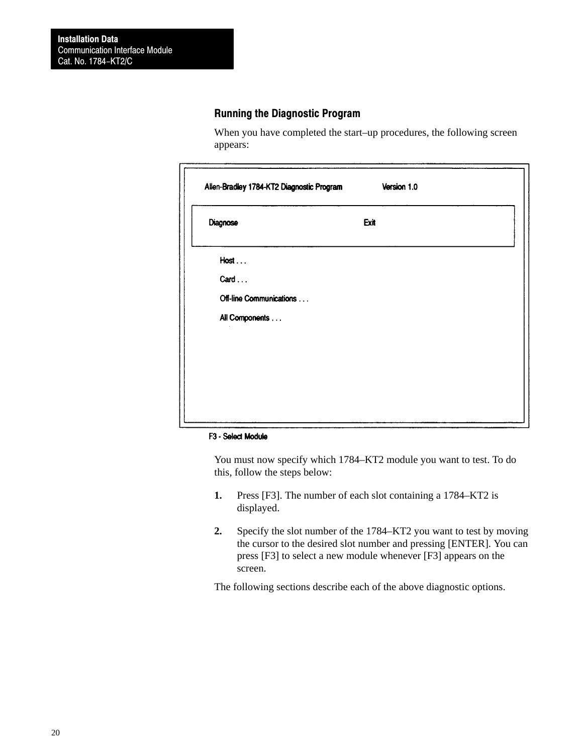### Running the Diagnostic Program

When you have completed the start–up procedures, the following screen appears:

| Allen-Bradley 1784-KT2 Diagnostic Program | Version 1.0 |  |
|-------------------------------------------|-------------|--|
| Diagnose                                  | Exit        |  |
| Host                                      |             |  |
| Card                                      |             |  |
| Off-line Communications                   |             |  |
| All Components                            |             |  |
|                                           |             |  |
|                                           |             |  |
|                                           |             |  |
|                                           |             |  |
|                                           |             |  |

#### F3 - Select Module

You must now specify which 1784–KT2 module you want to test. To do this, follow the steps below:

- **1.** Press [F3]. The number of each slot containing a 1784–KT2 is displayed.
- **2.** Specify the slot number of the 1784–KT2 you want to test by moving the cursor to the desired slot number and pressing [ENTER]. You can press [F3] to select a new module whenever [F3] appears on the screen.

The following sections describe each of the above diagnostic options.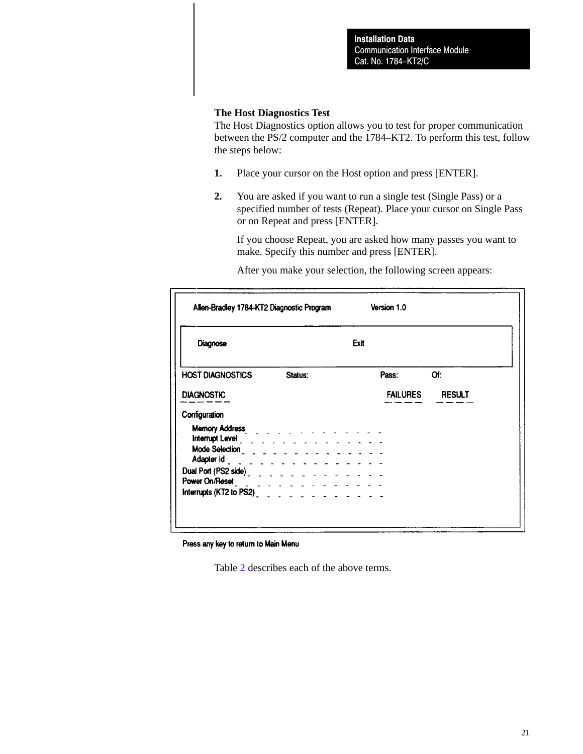#### **The Host Diagnostics Test**

The Host Diagnostics option allows you to test for proper communication between the PS/2 computer and the 1784–KT2. To perform this test, follow the steps below:

- **1.** Place your cursor on the Host option and press [ENTER].
- **2.** You are asked if you want to run a single test (Single Pass) or a specified number of tests (Repeat). Place your cursor on Single Pass or on Repeat and press [ENTER].

If you choose Repeat, you are asked how many passes you want to make. Specify this number and press [ENTER].

After you make your selection, the following screen appears:

| Allen-Bradley 1784-KT2 Diagnostic Program                                                                                                                                                                                            |         | Version 1.0                                                                                                                                                                                                                    |                 |  |
|--------------------------------------------------------------------------------------------------------------------------------------------------------------------------------------------------------------------------------------|---------|--------------------------------------------------------------------------------------------------------------------------------------------------------------------------------------------------------------------------------|-----------------|--|
| Diagnose                                                                                                                                                                                                                             |         | Exit                                                                                                                                                                                                                           |                 |  |
| <b>HOST DIAGNOSTICS</b>                                                                                                                                                                                                              | Status: | Pass: and the pass of the set of the set of the set of the set of the set of the set of the set of the set of the set of the set of the set of the set of the set of the set of the set of the set of the set of the set of th | Of:             |  |
| <b>DIAGNOSTIC</b>                                                                                                                                                                                                                    |         |                                                                                                                                                                                                                                | FAILURES RESULT |  |
| Configuration                                                                                                                                                                                                                        |         |                                                                                                                                                                                                                                |                 |  |
| Memory Address <b>New York Contract Contract Contract Contract Contract Contract Contract Contract Contract Contract Contract Contract Contract Contract Contract Contract Contract Contract Contract Contract Contract Contract</b> |         |                                                                                                                                                                                                                                |                 |  |
| Mode Selection $\begin{array}{c} \text{1.5} \\ \text{2.6} \end{array}$ Adapter Id $\begin{array}{c} \text{2.6} \\ \text{2.6} \end{array}$ and $\begin{array}{c} \text{3.6} \\ \text{4.6} \end{array}$                                |         |                                                                                                                                                                                                                                |                 |  |
|                                                                                                                                                                                                                                      |         |                                                                                                                                                                                                                                |                 |  |
|                                                                                                                                                                                                                                      |         |                                                                                                                                                                                                                                |                 |  |

Press any key to return to Main Menu

Table [2](#page-21-0) describes each of the above terms.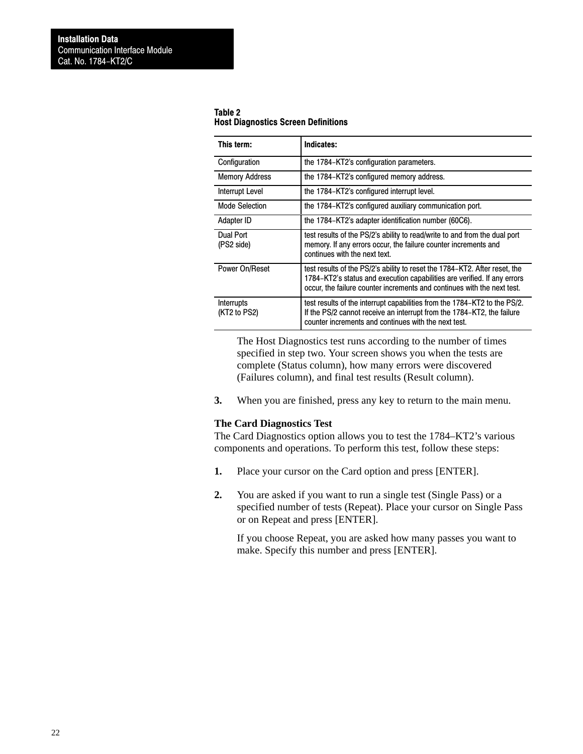<span id="page-21-0"></span>

| Table 2                                    |  |
|--------------------------------------------|--|
| <b>Host Diagnostics Screen Definitions</b> |  |

| This term:                 | Indicates:                                                                                                                                                                                                                        |
|----------------------------|-----------------------------------------------------------------------------------------------------------------------------------------------------------------------------------------------------------------------------------|
| Configuration              | the 1784–KT2's configuration parameters.                                                                                                                                                                                          |
| <b>Memory Address</b>      | the 1784–KT2's configured memory address.                                                                                                                                                                                         |
| Interrupt Level            | the 1784–KT2's configured interrupt level.                                                                                                                                                                                        |
| Mode Selection             | the 1784–KT2's configured auxiliary communication port.                                                                                                                                                                           |
| Adapter ID                 | the 1784–KT2's adapter identification number (60C6).                                                                                                                                                                              |
| Dual Port<br>(PS2 side)    | test results of the PS/2's ability to read/write to and from the dual port<br>memory. If any errors occur, the failure counter increments and<br>continues with the next text.                                                    |
| Power On/Reset             | test results of the PS/2's ability to reset the 1784–KT2. After reset, the<br>1784–KT2's status and execution capabilities are verified. If any errors<br>occur, the failure counter increments and continues with the next test. |
| Interrupts<br>(KT2 to PS2) | test results of the interrupt capabilities from the 1784–KT2 to the PS/2.<br>If the PS/2 cannot receive an interrupt from the 1784–KT2, the failure<br>counter increments and continues with the next test.                       |

The Host Diagnostics test runs according to the number of times specified in step two. Your screen shows you when the tests are complete (Status column), how many errors were discovered (Failures column), and final test results (Result column).

**3.** When you are finished, press any key to return to the main menu.

#### **The Card Diagnostics Test**

The Card Diagnostics option allows you to test the 1784–KT2's various components and operations. To perform this test, follow these steps:

- **1.** Place your cursor on the Card option and press [ENTER].
- **2.** You are asked if you want to run a single test (Single Pass) or a specified number of tests (Repeat). Place your cursor on Single Pass or on Repeat and press [ENTER].

If you choose Repeat, you are asked how many passes you want to make. Specify this number and press [ENTER].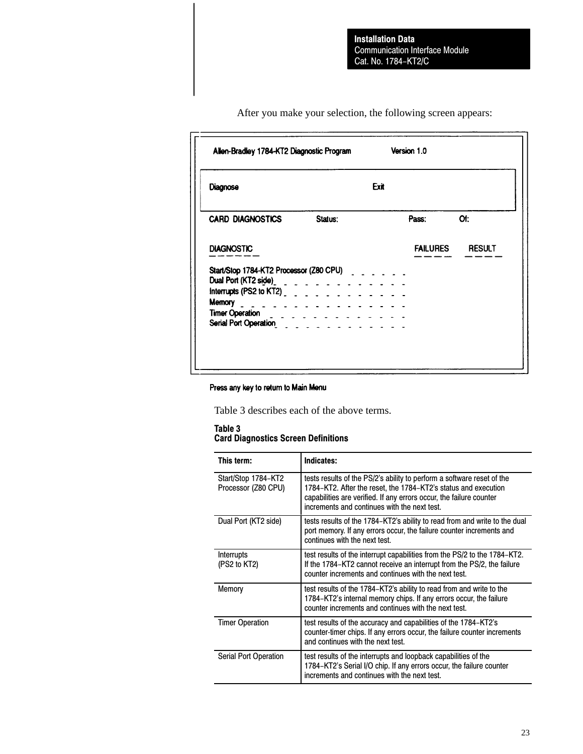| Allen-Bradley 1784-KT2 Diagnostic Program                                                                                                                                                                                                                                                                                                                                                                                                                     | Version 1.0                      |
|---------------------------------------------------------------------------------------------------------------------------------------------------------------------------------------------------------------------------------------------------------------------------------------------------------------------------------------------------------------------------------------------------------------------------------------------------------------|----------------------------------|
| Diagnose                                                                                                                                                                                                                                                                                                                                                                                                                                                      | Exit                             |
| <b>CARD DIAGNOSTICS</b><br>Status:                                                                                                                                                                                                                                                                                                                                                                                                                            | Of:<br>Pass:                     |
| <b>DIAGNOSTIC</b>                                                                                                                                                                                                                                                                                                                                                                                                                                             | <b>FAILURES</b><br><b>RESULT</b> |
| Start/Stop 1784-KT2 Processor (Z80 CPU)<br>Dual Port (KT2 side)<br>$\frac{1}{2}$<br>Interrupts (PS2 to KT2) $\frac{1}{2}$ $\frac{1}{2}$ $\frac{1}{2}$ $\frac{1}{2}$ $\frac{1}{2}$ $\frac{1}{2}$ $\frac{1}{2}$ $\frac{1}{2}$ $\frac{1}{2}$ $\frac{1}{2}$ $\frac{1}{2}$ $\frac{1}{2}$ $\frac{1}{2}$<br>Memory $\overline{\phantom{a}}$ $\overline{\phantom{a}}$ $\overline{\phantom{a}}$<br>$\sim$ $\sim$ $\sim$ $\sim$ $\sim$ $\sim$ $\sim$<br>Timer Operation |                                  |

After you make your selection, the following screen appears:

#### Press any key to return to Main Menu

Table 3 describes each of the above terms.

#### Table 3 Card Diagnostics Screen Definitions

| This term:                                 | Indicates:                                                                                                                                                                                                                                                      |
|--------------------------------------------|-----------------------------------------------------------------------------------------------------------------------------------------------------------------------------------------------------------------------------------------------------------------|
| Start/Stop 1784-KT2<br>Processor (Z80 CPU) | tests results of the PS/2's ability to perform a software reset of the<br>1784–KT2. After the reset, the 1784–KT2's status and execution<br>capabilities are verified. If any errors occur, the failure counter<br>increments and continues with the next test. |
| Dual Port (KT2 side)                       | tests results of the 1784–KT2's ability to read from and write to the dual<br>port memory. If any errors occur, the failure counter increments and<br>continues with the next test.                                                                             |
| Interrupts<br>(PS2 to KT2)                 | test results of the interrupt capabilities from the PS/2 to the 1784–KT2.<br>If the 1784–KT2 cannot receive an interrupt from the PS/2, the failure<br>counter increments and continues with the next test.                                                     |
| Memory                                     | test results of the 1784–KT2's ability to read from and write to the<br>1784–KT2's internal memory chips. If any errors occur, the failure<br>counter increments and continues with the next test.                                                              |
| <b>Timer Operation</b>                     | test results of the accuracy and capabilities of the 1784–KT2's<br>counter-timer chips. If any errors occur, the failure counter increments<br>and continues with the next test.                                                                                |
| Serial Port Operation                      | test results of the interrupts and loopback capabilities of the<br>1784-KT2's Serial I/O chip. If any errors occur, the failure counter<br>increments and continues with the next test.                                                                         |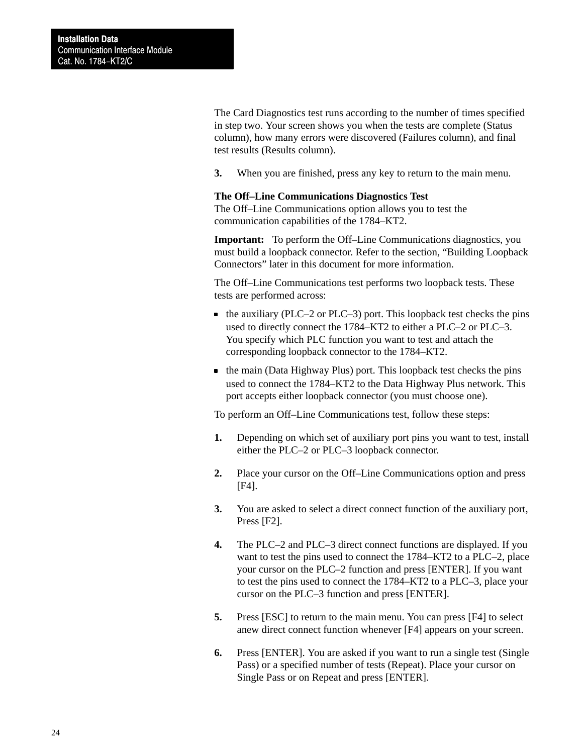The Card Diagnostics test runs according to the number of times specified in step two. Your screen shows you when the tests are complete (Status column), how many errors were discovered (Failures column), and final test results (Results column).

**3.** When you are finished, press any key to return to the main menu.

#### **The Off–Line Communications Diagnostics Test**

The Off–Line Communications option allows you to test the communication capabilities of the 1784–KT2.

**Important:** To perform the Off–Line Communications diagnostics, you must build a loopback connector. Refer to the section, "Building Loopback Connectors" later in this document for more information.

The Off–Line Communications test performs two loopback tests. These tests are performed across:

- $\bullet$  the auxiliary (PLC–2 or PLC–3) port. This loopback test checks the pins used to directly connect the 1784–KT2 to either a PLC–2 or PLC–3. You specify which PLC function you want to test and attach the corresponding loopback connector to the 1784–KT2.
- $\bullet$  the main (Data Highway Plus) port. This loopback test checks the pins used to connect the 1784–KT2 to the Data Highway Plus network. This port accepts either loopback connector (you must choose one).

To perform an Off–Line Communications test, follow these steps:

- **1.** Depending on which set of auxiliary port pins you want to test, install either the PLC–2 or PLC–3 loopback connector.
- **2.** Place your cursor on the Off–Line Communications option and press [F4].
- **3.** You are asked to select a direct connect function of the auxiliary port, Press [F2].
- **4.** The PLC–2 and PLC–3 direct connect functions are displayed. If you want to test the pins used to connect the 1784–KT2 to a PLC–2, place your cursor on the PLC–2 function and press [ENTER]. If you want to test the pins used to connect the 1784–KT2 to a PLC–3, place your cursor on the PLC–3 function and press [ENTER].
- **5.** Press [ESC] to return to the main menu. You can press [F4] to select anew direct connect function whenever [F4] appears on your screen.
- **6.** Press [ENTER]. You are asked if you want to run a single test (Single Pass) or a specified number of tests (Repeat). Place your cursor on Single Pass or on Repeat and press [ENTER].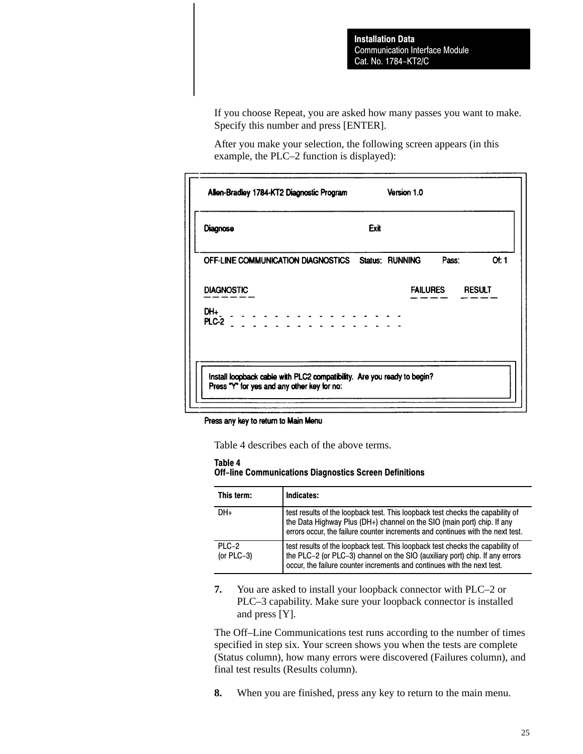If you choose Repeat, you are asked how many passes you want to make. Specify this number and press [ENTER].

After you make your selection, the following screen appears (in this example, the PLC–2 function is displayed):

| Diagnose                                           | Exit |                        |
|----------------------------------------------------|------|------------------------|
| OFF-LINE COMMUNICATION DIAGNOSTICS Status: RUNNING |      | Or: 1<br>Pass:         |
| <b>DIAGNOSTIC</b>                                  |      | <b>FAILURES RESULT</b> |
| DH+<br>DH+<br>PLC-2                                |      |                        |
|                                                    |      |                        |

#### Press any key to return to Main Menu

Table 4 describes each of the above terms.

#### Table 4

#### Off-line Communications Diagnostics Screen Definitions

| This term:             | Indicates:                                                                                                                                                                                                                                  |
|------------------------|---------------------------------------------------------------------------------------------------------------------------------------------------------------------------------------------------------------------------------------------|
| DH+                    | test results of the loopback test. This loopback test checks the capability of<br>the Data Highway Plus (DH+) channel on the SIO (main port) chip. If any<br>errors occur, the failure counter increments and continues with the next test. |
| PLC-2<br>(or $PLC-3$ ) | test results of the loopback test. This loopback test checks the capability of<br>the PLC-2 (or PLC-3) channel on the SIO (auxiliary port) chip. If any errors<br>occur, the failure counter increments and continues with the next test.   |

**7.** You are asked to install your loopback connector with PLC–2 or PLC–3 capability. Make sure your loopback connector is installed and press [Y].

The Off–Line Communications test runs according to the number of times specified in step six. Your screen shows you when the tests are complete (Status column), how many errors were discovered (Failures column), and final test results (Results column).

**8.** When you are finished, press any key to return to the main menu.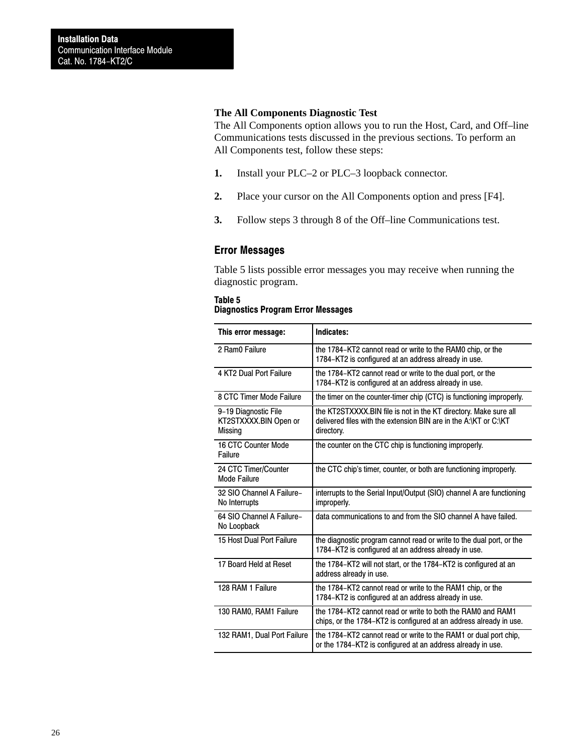#### **The All Components Diagnostic Test**

The All Components option allows you to run the Host, Card, and Off–line Communications tests discussed in the previous sections. To perform an All Components test, follow these steps:

- **1.** Install your PLC–2 or PLC–3 loopback connector.
- **2.** Place your cursor on the All Components option and press [F4].
- **3.** Follow steps 3 through 8 of the Off–line Communications test.

### Error Messages

Table 5 lists possible error messages you may receive when running the diagnostic program.

#### Table 5 Diagnostics Program Error Messages

| This error message:                                      | Indicates:                                                                                                                                         |
|----------------------------------------------------------|----------------------------------------------------------------------------------------------------------------------------------------------------|
| 2 Ram0 Failure                                           | the 1784–KT2 cannot read or write to the RAM0 chip, or the<br>1784-KT2 is configured at an address already in use.                                 |
| 4 KT2 Dual Port Failure                                  | the 1784–KT2 cannot read or write to the dual port, or the<br>1784-KT2 is configured at an address already in use.                                 |
| 8 CTC Timer Mode Failure                                 | the timer on the counter-timer chip (CTC) is functioning improperly.                                                                               |
| 9-19 Diagnostic File<br>KT2STXXXX.BIN Open or<br>Missing | the KT2STXXXX.BIN file is not in the KT directory. Make sure all<br>delivered files with the extension BIN are in the A:\KT or C:\KT<br>directory. |
| 16 CTC Counter Mode<br>Failure                           | the counter on the CTC chip is functioning improperly.                                                                                             |
| 24 CTC Timer/Counter<br>Mode Failure                     | the CTC chip's timer, counter, or both are functioning improperly.                                                                                 |
| 32 SIO Channel A Failure-<br>No Interrupts               | interrupts to the Serial Input/Output (SIO) channel A are functioning<br>improperly.                                                               |
| 64 SIO Channel A Failure-<br>No Loopback                 | data communications to and from the SIO channel A have failed.                                                                                     |
| 15 Host Dual Port Failure                                | the diagnostic program cannot read or write to the dual port, or the<br>1784-KT2 is configured at an address already in use.                       |
| 17 Board Held at Reset                                   | the 1784–KT2 will not start, or the 1784–KT2 is configured at an<br>address already in use.                                                        |
| 128 RAM 1 Failure                                        | the 1784–KT2 cannot read or write to the RAM1 chip, or the<br>1784–KT2 is configured at an address already in use.                                 |
| 130 RAM0, RAM1 Failure                                   | the 1784–KT2 cannot read or write to both the RAM0 and RAM1<br>chips, or the 1784–KT2 is configured at an address already in use.                  |
| 132 RAM1, Dual Port Failure                              | the 1784–KT2 cannot read or write to the RAM1 or dual port chip,<br>or the 1784-KT2 is configured at an address already in use.                    |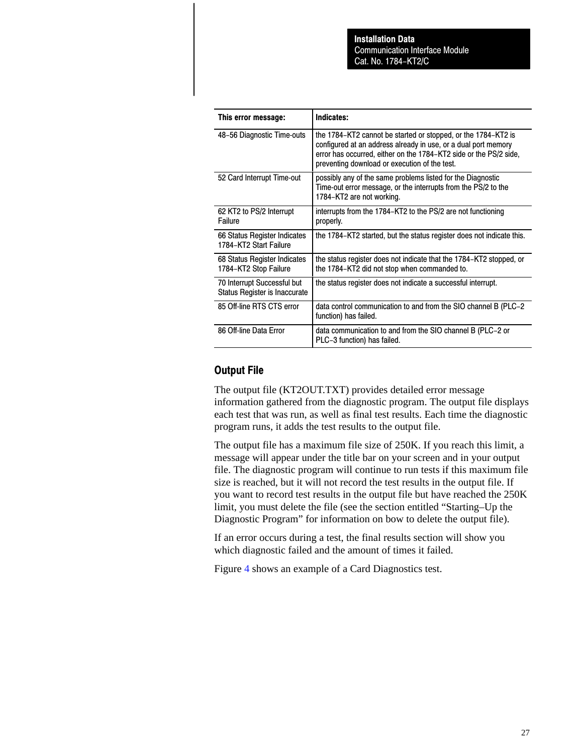| This error message:                                          | Indicates:                                                                                                                                                                                                                                            |
|--------------------------------------------------------------|-------------------------------------------------------------------------------------------------------------------------------------------------------------------------------------------------------------------------------------------------------|
| 48-56 Diagnostic Time-outs                                   | the 1784–KT2 cannot be started or stopped, or the 1784–KT2 is<br>configured at an address already in use, or a dual port memory<br>error has occurred, either on the 1784–KT2 side or the PS/2 side,<br>preventing download or execution of the test. |
| 52 Card Interrupt Time-out                                   | possibly any of the same problems listed for the Diagnostic<br>Time-out error message, or the interrupts from the PS/2 to the<br>1784-KT2 are not working.                                                                                            |
| 62 KT2 to PS/2 Interrupt<br>Failure                          | interrupts from the 1784–KT2 to the PS/2 are not functioning<br>properly.                                                                                                                                                                             |
| 66 Status Register Indicates<br>1784-KT2 Start Failure       | the 1784–KT2 started, but the status register does not indicate this.                                                                                                                                                                                 |
| 68 Status Register Indicates<br>1784-KT2 Stop Failure        | the status register does not indicate that the 1784–KT2 stopped, or<br>the 1784-KT2 did not stop when commanded to.                                                                                                                                   |
| 70 Interrupt Successful but<br>Status Register is Inaccurate | the status register does not indicate a successful interrupt.                                                                                                                                                                                         |
| 85 Off-line RTS CTS error                                    | data control communication to and from the SIO channel B (PLC-2)<br>function) has failed.                                                                                                                                                             |
| 86 Off-line Data Error                                       | data communication to and from the SIO channel B (PLC-2 or<br>PLC-3 function) has failed.                                                                                                                                                             |

### Output File

The output file (KT2OUT.TXT) provides detailed error message information gathered from the diagnostic program. The output file displays each test that was run, as well as final test results. Each time the diagnostic program runs, it adds the test results to the output file.

The output file has a maximum file size of 250K. If you reach this limit, a message will appear under the title bar on your screen and in your output file. The diagnostic program will continue to run tests if this maximum file size is reached, but it will not record the test results in the output file. If you want to record test results in the output file but have reached the 250K limit, you must delete the file (see the section entitled "Starting–Up the Diagnostic Program" for information on bow to delete the output file).

If an error occurs during a test, the final results section will show you which diagnostic failed and the amount of times it failed.

Figure [4](#page-27-0) shows an example of a Card Diagnostics test.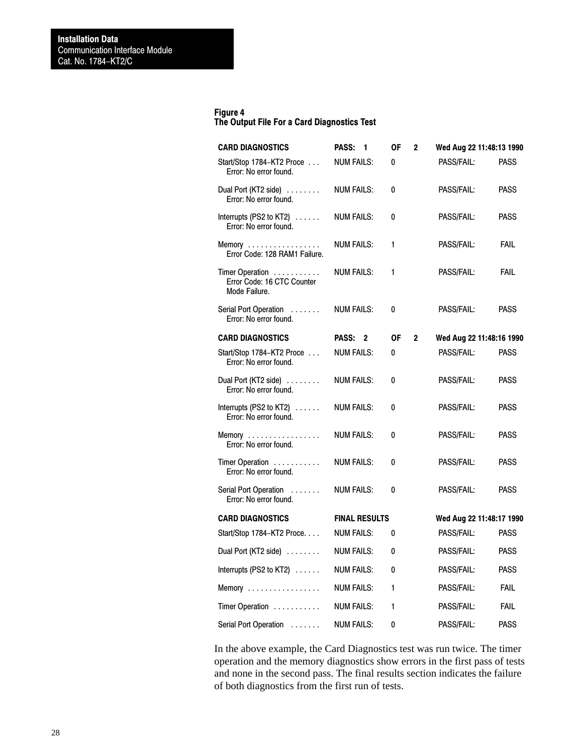#### <span id="page-27-0"></span>Figure 4

### The Output File For a Card Diagnostics Test

| <b>CARD DIAGNOSTICS</b>                                                           | PASS:<br>-1          | ΟF | $\mathbf{2}$ | Wed Aug 22 11:48:13 1990 |             |
|-----------------------------------------------------------------------------------|----------------------|----|--------------|--------------------------|-------------|
| Start/Stop 1784-KT2 Proce<br>Error: No error found.                               | <b>NUM FAILS:</b>    | 0  |              | PASS/FAIL:               | <b>PASS</b> |
| Dual Port (KT2 side)<br>Error: No error found.                                    | <b>NUM FAILS:</b>    | 0  |              | PASS/FAIL:               | <b>PASS</b> |
| Interrupts (PS2 to $KT2$ ) $\ldots$<br>Error: No error found.                     | <b>NUM FAILS:</b>    | 0  |              | PASS/FAIL:               | PASS        |
| Memory<br>Error Code: 128 RAM1 Failure.                                           | <b>NUM FAILS:</b>    | 1  |              | PASS/FAIL:               | <b>FAIL</b> |
| Timer Operation<br>Error Code: 16 CTC Counter<br>Mode Failure.                    | <b>NUM FAILS:</b>    | 1  |              | PASS/FAIL:               | <b>FAIL</b> |
| Serial Port Operation<br>Error: No error found.                                   | <b>NUM FAILS:</b>    | 0  |              | PASS/FAIL:               | <b>PASS</b> |
| <b>CARD DIAGNOSTICS</b>                                                           | PASS: 2              | 0F | $\mathbf{2}$ | Wed Aug 22 11:48:16 1990 |             |
| Start/Stop 1784-KT2 Proce<br>Error: No error found.                               | <b>NUM FAILS:</b>    | 0  |              | <b>PASS/FAIL:</b>        | <b>PASS</b> |
| Dual Port (KT2 side)<br>Error: No error found.                                    | <b>NUM FAILS:</b>    | 0  |              | PASS/FAIL:               | <b>PASS</b> |
| Interrupts (PS2 to KT2) $\ldots$ .<br>Error: No error found.                      | <b>NUM FAILS:</b>    | 0  |              | PASS/FAIL:               | <b>PASS</b> |
| Memory<br>Error: No error found.                                                  | <b>NUM FAILS:</b>    | 0  |              | PASS/FAIL:               | <b>PASS</b> |
| Timer Operation<br>Error: No error found.                                         | <b>NUM FAILS:</b>    | 0  |              | PASS/FAIL:               | <b>PASS</b> |
| Serial Port Operation<br>$\alpha$ . The second $\alpha$<br>Error: No error found. | <b>NUM FAILS:</b>    | 0  |              | PASS/FAIL:               | PASS        |
| <b>CARD DIAGNOSTICS</b>                                                           | <b>FINAL RESULTS</b> |    |              | Wed Aug 22 11:48:17 1990 |             |
| Start/Stop 1784-KT2 Proce                                                         | <b>NUM FAILS:</b>    | 0  |              | PASS/FAIL:               | <b>PASS</b> |
| Dual Port (KT2 side) $\ldots \ldots$                                              | <b>NUM FAILS:</b>    | 0  |              | PASS/FAIL:               | <b>PASS</b> |
| Interrupts (PS2 to KT2)                                                           | <b>NUM FAILS:</b>    | 0  |              | PASS/FAIL:               | <b>PASS</b> |
| Memory $\dots\dots\dots\dots\dots\dots$                                           | <b>NUM FAILS:</b>    | 1  |              | PASS/FAIL:               | <b>FAIL</b> |
| Timer Operation                                                                   | <b>NUM FAILS:</b>    | 1  |              | PASS/FAIL:               | <b>FAIL</b> |
| Serial Port Operation                                                             | <b>NUM FAILS:</b>    | 0  |              | PASS/FAIL:               | <b>PASS</b> |

In the above example, the Card Diagnostics test was run twice. The timer operation and the memory diagnostics show errors in the first pass of tests and none in the second pass. The final results section indicates the failure of both diagnostics from the first run of tests.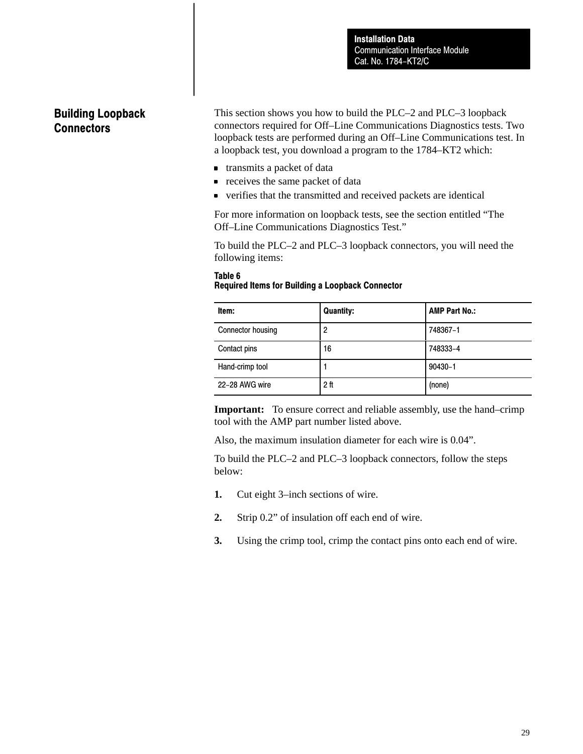# Building Loopback **Connectors**

This section shows you how to build the PLC–2 and PLC–3 loopback connectors required for Off–Line Communications Diagnostics tests. Two loopback tests are performed during an Off–Line Communications test. In a loopback test, you download a program to the 1784–KT2 which:

- transmits a packet of data
- **•** receives the same packet of data
- verifies that the transmitted and received packets are identical

For more information on loopback tests, see the section entitled "The Off–Line Communications Diagnostics Test."

To build the PLC–2 and PLC–3 loopback connectors, you will need the following items:

### Table 6 Required Items for Building a Loopback Connector

| Item:             | <b>Quantity:</b> | <b>AMP Part No.:</b> |
|-------------------|------------------|----------------------|
| Connector housing | 2                | 748367-1             |
| Contact pins      | 16               | 748333-4             |
| Hand-crimp tool   |                  | $90430 - 1$          |
| 22-28 AWG wire    | 2 <sup>ft</sup>  | (none)               |

**Important:** To ensure correct and reliable assembly, use the hand–crimp tool with the AMP part number listed above.

Also, the maximum insulation diameter for each wire is 0.04".

To build the PLC–2 and PLC–3 loopback connectors, follow the steps below:

- **1.** Cut eight 3–inch sections of wire.
- **2.** Strip 0.2" of insulation off each end of wire.
- **3.** Using the crimp tool, crimp the contact pins onto each end of wire.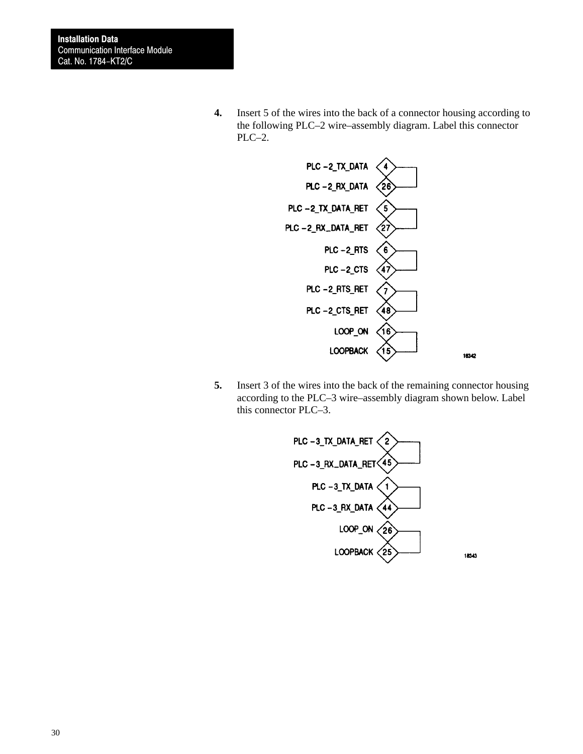**4.** Insert 5 of the wires into the back of a connector housing according to the following PLC–2 wire–assembly diagram. Label this connector PLC–2.



**5.** Insert 3 of the wires into the back of the remaining connector housing according to the PLC–3 wire–assembly diagram shown below. Label this connector PLC–3.

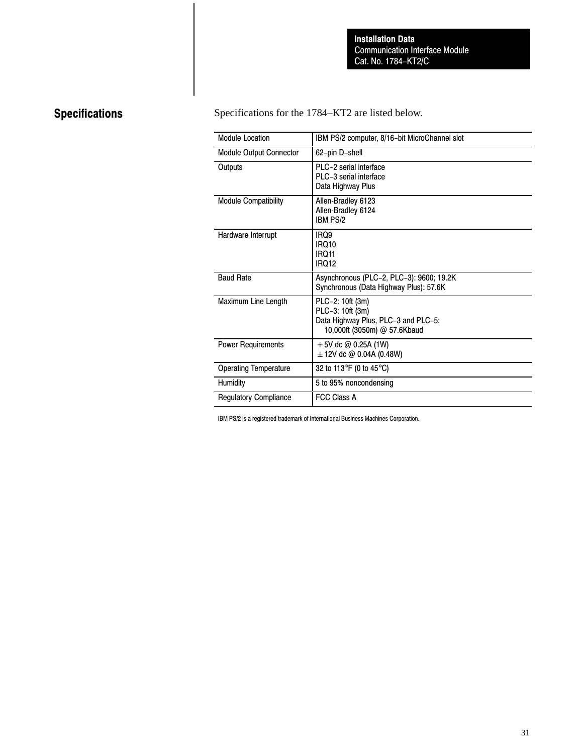# Specifications

Specifications for the 1784–KT2 are listed below.

| <b>Module Location</b>       | IBM PS/2 computer, 8/16-bit MicroChannel slot                                                               |
|------------------------------|-------------------------------------------------------------------------------------------------------------|
| Module Output Connector      | 62-pin D-shell                                                                                              |
| Outputs                      | PLC-2 serial interface<br>PLC-3 serial interface<br>Data Highway Plus                                       |
| <b>Module Compatibility</b>  | Allen-Bradley 6123<br>Allen-Bradley 6124<br><b>IBM PS/2</b>                                                 |
| Hardware Interrupt           | IRQ9<br><b>IRQ10</b><br><b>IRQ11</b><br><b>IRQ12</b>                                                        |
| <b>Baud Rate</b>             | Asynchronous (PLC-2, PLC-3): 9600; 19.2K<br>Synchronous (Data Highway Plus): 57.6K                          |
| Maximum Line Length          | PLC-2: 10ft (3m)<br>PLC-3: 10ft (3m)<br>Data Highway Plus, PLC-3 and PLC-5:<br>10,000ft (3050m) @ 57.6Kbaud |
| <b>Power Requirements</b>    | $+5V$ dc @ 0.25A (1W)<br>$\pm$ 12V dc @ 0.04A (0.48W)                                                       |
| <b>Operating Temperature</b> | 32 to 113°F (0 to 45°C)                                                                                     |
| Humidity                     | 5 to 95% noncondensing                                                                                      |
| <b>Regulatory Compliance</b> | <b>FCC Class A</b>                                                                                          |

IBM PS/2 is a registered trademark of International Business Machines Corporation.